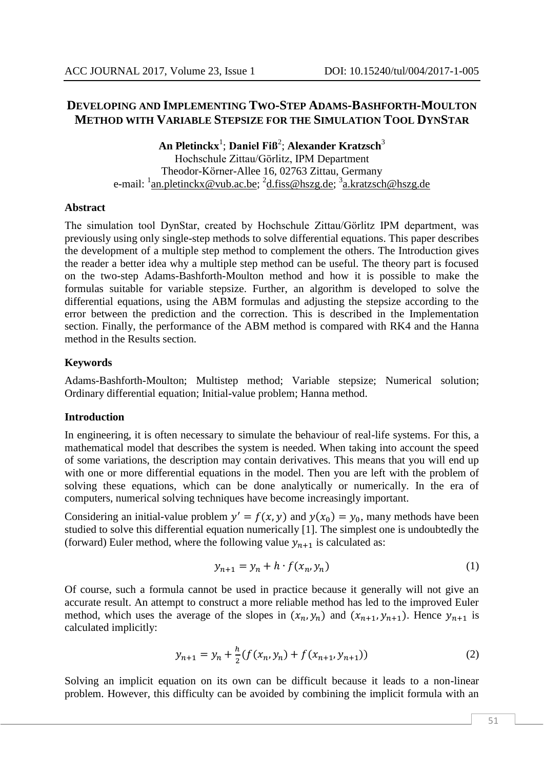# **DEVELOPING AND IMPLEMENTING TWO-STEP ADAMS-BASHFORTH-MOULTON METHOD WITH VARIABLE STEPSIZE FOR THE SIMULATION TOOL DYNSTAR**

**An Pletinckx**<sup>1</sup> ; **Daniel Fiß**<sup>2</sup> ; **Alexander Kratzsch**<sup>3</sup> Hochschule Zittau/Görlitz, IPM Department Theodor-Körner-Allee 16, 02763 Zittau, Germany e-mail: <sup>1</sup>[an.pletinckx@vub.ac.be;](mailto:an.pletinckx@vub.ac.be) <sup>2</sup>[d.fiss@hszg.de;](mailto:d.fiss@hszg.de) <sup>3</sup>[a.kratzsch@hszg.de](mailto:a.kratzsch@hszg.de)

### **Abstract**

The simulation tool DynStar, created by Hochschule Zittau/Görlitz IPM department, was previously using only single-step methods to solve differential equations. This paper describes the development of a multiple step method to complement the others. The Introduction gives the reader a better idea why a multiple step method can be useful. The theory part is focused on the two-step Adams-Bashforth-Moulton method and how it is possible to make the formulas suitable for variable stepsize. Further, an algorithm is developed to solve the differential equations, using the ABM formulas and adjusting the stepsize according to the error between the prediction and the correction. This is described in the Implementation section. Finally, the performance of the ABM method is compared with RK4 and the Hanna method in the Results section.

## **Keywords**

Adams-Bashforth-Moulton; Multistep method; Variable stepsize; Numerical solution; Ordinary differential equation; Initial-value problem; Hanna method.

## **Introduction**

In engineering, it is often necessary to simulate the behaviour of real-life systems. For this, a mathematical model that describes the system is needed. When taking into account the speed of some variations, the description may contain derivatives. This means that you will end up with one or more differential equations in the model. Then you are left with the problem of solving these equations, which can be done analytically or numerically. In the era of computers, numerical solving techniques have become increasingly important.

Considering an initial-value problem  $y' = f(x, y)$  and  $y(x_0) = y_0$ , many methods have been studied to solve this differential equation numerically [1]. The simplest one is undoubtedly the (forward) Euler method, where the following value  $y_{n+1}$  is calculated as:

$$
y_{n+1} = y_n + h \cdot f(x_n, y_n) \tag{1}
$$

Of course, such a formula cannot be used in practice because it generally will not give an accurate result. An attempt to construct a more reliable method has led to the improved Euler method, which uses the average of the slopes in  $(x_n, y_n)$  and  $(x_{n+1}, y_{n+1})$ . Hence  $y_{n+1}$  is calculated implicitly:

$$
y_{n+1} = y_n + \frac{h}{2} (f(x_n, y_n) + f(x_{n+1}, y_{n+1}))
$$
 (2)

Solving an implicit equation on its own can be difficult because it leads to a non-linear problem. However, this difficulty can be avoided by combining the implicit formula with an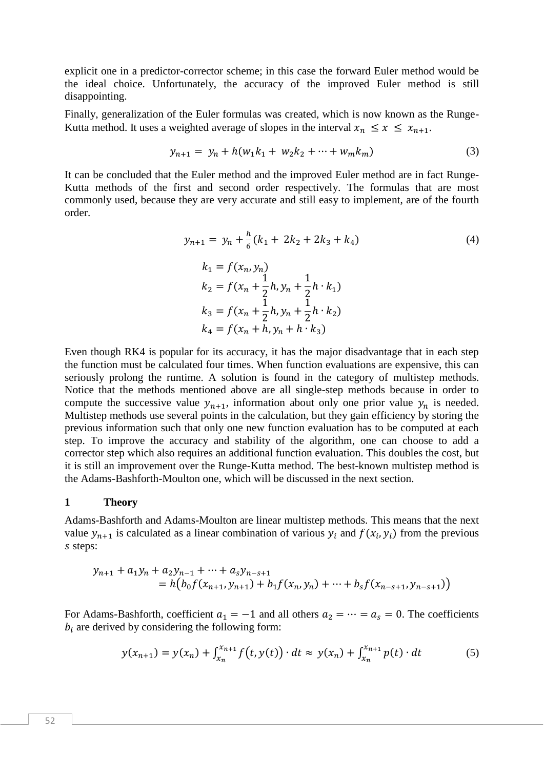explicit one in a predictor-corrector scheme; in this case the forward Euler method would be the ideal choice. Unfortunately, the accuracy of the improved Euler method is still disappointing.

Finally, generalization of the Euler formulas was created, which is now known as the Runge-Kutta method. It uses a weighted average of slopes in the interval  $x_n \le x \le x_{n+1}$ .

$$
y_{n+1} = y_n + h(w_1k_1 + w_2k_2 + \dots + w_mk_m)
$$
 (3)

It can be concluded that the Euler method and the improved Euler method are in fact Runge-Kutta methods of the first and second order respectively. The formulas that are most commonly used, because they are very accurate and still easy to implement, are of the fourth order.

$$
y_{n+1} = y_n + \frac{h}{6}(k_1 + 2k_2 + 2k_3 + k_4)
$$
  
\n
$$
k_1 = f(x_n, y_n)
$$
  
\n
$$
k_2 = f(x_n + \frac{1}{2}h, y_n + \frac{1}{2}h \cdot k_1)
$$
  
\n
$$
k_3 = f(x_n + \frac{1}{2}h, y_n + \frac{1}{2}h \cdot k_2)
$$
  
\n
$$
k_4 = f(x_n + h, y_n + h \cdot k_3)
$$
  
\n(4)

Even though RK4 is popular for its accuracy, it has the major disadvantage that in each step the function must be calculated four times. When function evaluations are expensive, this can seriously prolong the runtime. A solution is found in the category of multistep methods. Notice that the methods mentioned above are all single-step methods because in order to compute the successive value  $y_{n+1}$ , information about only one prior value  $y_n$  is needed. Multistep methods use several points in the calculation, but they gain efficiency by storing the previous information such that only one new function evaluation has to be computed at each step. To improve the accuracy and stability of the algorithm, one can choose to add a corrector step which also requires an additional function evaluation. This doubles the cost, but it is still an improvement over the Runge-Kutta method. The best-known multistep method is the Adams-Bashforth-Moulton one, which will be discussed in the next section.

#### **1 Theory**

Adams-Bashforth and Adams-Moulton are linear multistep methods. This means that the next value  $y_{n+1}$  is calculated as a linear combination of various  $y_i$  and  $f(x_i, y_i)$  from the previous s steps:

$$
y_{n+1} + a_1 y_n + a_2 y_{n-1} + \dots + a_s y_{n-s+1}
$$
  
=  $h(b_0 f(x_{n+1}, y_{n+1}) + b_1 f(x_n, y_n) + \dots + b_s f(x_{n-s+1}, y_{n-s+1}))$ 

For Adams-Bashforth, coefficient  $a_1 = -1$  and all others  $a_2 = \cdots = a_s = 0$ . The coefficients  $b_i$  are derived by considering the following form:

$$
y(x_{n+1}) = y(x_n) + \int_{x_n}^{x_{n+1}} f(t, y(t)) \cdot dt \approx y(x_n) + \int_{x_n}^{x_{n+1}} p(t) \cdot dt \tag{5}
$$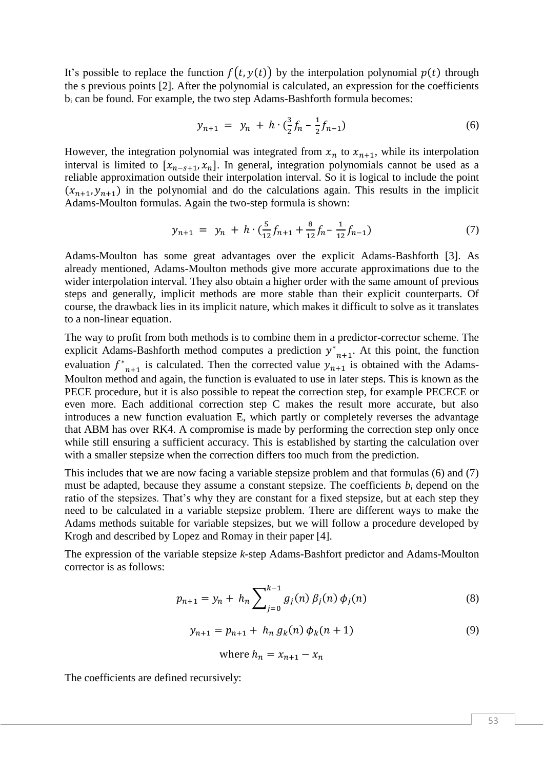It's possible to replace the function  $f(t, y(t))$  by the interpolation polynomial  $p(t)$  through the s previous points [2]. After the polynomial is calculated, an expression for the coefficients b<sup>i</sup> can be found. For example, the two step Adams-Bashforth formula becomes:

$$
y_{n+1} = y_n + h \cdot \left(\frac{3}{2} f_n - \frac{1}{2} f_{n-1}\right) \tag{6}
$$

However, the integration polynomial was integrated from  $x_n$  to  $x_{n+1}$ , while its interpolation interval is limited to  $[x_{n-s+1}, x_n]$ . In general, integration polynomials cannot be used as a reliable approximation outside their interpolation interval. So it is logical to include the point  $(x_{n+1}, y_{n+1})$  in the polynomial and do the calculations again. This results in the implicit Adams-Moulton formulas. Again the two-step formula is shown:

$$
y_{n+1} = y_n + h \cdot \left(\frac{5}{12} f_{n+1} + \frac{8}{12} f_n - \frac{1}{12} f_{n-1}\right) \tag{7}
$$

Adams-Moulton has some great advantages over the explicit Adams-Bashforth [3]. As already mentioned, Adams-Moulton methods give more accurate approximations due to the wider interpolation interval. They also obtain a higher order with the same amount of previous steps and generally, implicit methods are more stable than their explicit counterparts. Of course, the drawback lies in its implicit nature, which makes it difficult to solve as it translates to a non-linear equation.

The way to profit from both methods is to combine them in a predictor-corrector scheme. The explicit Adams-Bashforth method computes a prediction  $y^*$  $_{n+1}$ . At this point, the function evaluation  $f^*$  $n+1$  is calculated. Then the corrected value  $y_{n+1}$  is obtained with the Adams-Moulton method and again, the function is evaluated to use in later steps. This is known as the PECE procedure, but it is also possible to repeat the correction step, for example PECECE or even more. Each additional correction step C makes the result more accurate, but also introduces a new function evaluation E, which partly or completely reverses the advantage that ABM has over RK4. A compromise is made by performing the correction step only once while still ensuring a sufficient accuracy. This is established by starting the calculation over with a smaller stepsize when the correction differs too much from the prediction.

This includes that we are now facing a variable stepsize problem and that formulas (6) and (7) must be adapted, because they assume a constant stepsize. The coefficients  $b_i$  depend on the ratio of the stepsizes. That's why they are constant for a fixed stepsize, but at each step they need to be calculated in a variable stepsize problem. There are different ways to make the Adams methods suitable for variable stepsizes, but we will follow a procedure developed by Krogh and described by Lopez and Romay in their paper [4].

The expression of the variable stepsize *k*-step Adams-Bashfort predictor and Adams-Moulton corrector is as follows:

$$
p_{n+1} = y_n + h_n \sum_{j=0}^{k-1} g_j(n) \beta_j(n) \phi_j(n)
$$
 (8)

$$
y_{n+1} = p_{n+1} + h_n g_k(n) \phi_k(n+1)
$$
\n(9)

where 
$$
h_n = x_{n+1} - x_n
$$

The coefficients are defined recursively: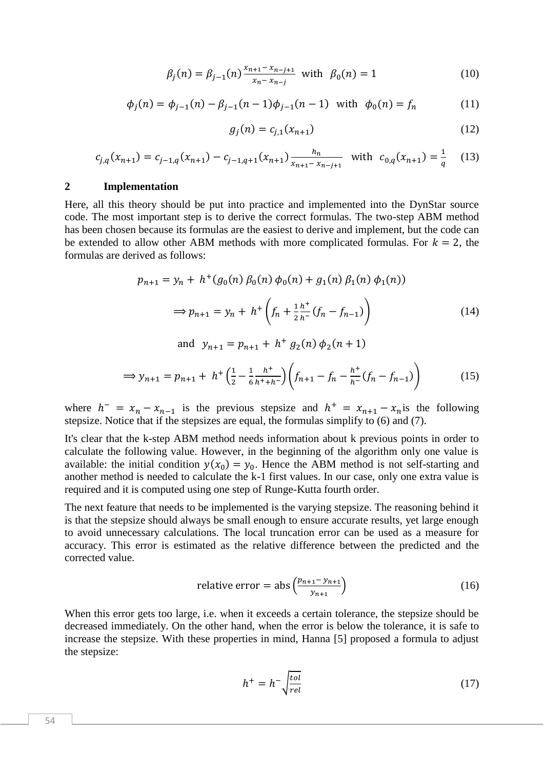$$
\beta_j(n) = \beta_{j-1}(n) \frac{x_{n+1} - x_{n-j+1}}{x_n - x_{n-j}} \text{ with } \beta_0(n) = 1 \tag{10}
$$

$$
\phi_j(n) = \phi_{j-1}(n) - \beta_{j-1}(n-1)\phi_{j-1}(n-1) \quad \text{with} \quad \phi_0(n) = f_n \tag{11}
$$

$$
g_j(n) = c_{j,1}(x_{n+1})
$$
 (12)

$$
c_{j,q}(x_{n+1}) = c_{j-1,q}(x_{n+1}) - c_{j-1,q+1}(x_{n+1}) \frac{h_n}{x_{n+1} - x_{n-j+1}} \quad \text{with} \quad c_{0,q}(x_{n+1}) = \frac{1}{q} \tag{13}
$$

#### **2 Implementation**

Here, all this theory should be put into practice and implemented into the DynStar source code. The most important step is to derive the correct formulas. The two-step ABM method has been chosen because its formulas are the easiest to derive and implement, but the code can be extended to allow other ABM methods with more complicated formulas. For  $k = 2$ , the formulas are derived as follows:

$$
p_{n+1} = y_n + h^+(g_0(n) \beta_0(n) \phi_0(n) + g_1(n) \beta_1(n) \phi_1(n))
$$
  

$$
\Rightarrow p_{n+1} = y_n + h^+\left(f_n + \frac{1}{2} \frac{h^+}{h^-} (f_n - f_{n-1})\right)
$$
(14)

and  $y_{n+1} = p_{n+1} + h^+ g_2(n) \phi_2(n+1)$ 

$$
\Rightarrow y_{n+1} = p_{n+1} + h^+ \left(\frac{1}{2} - \frac{1}{6} \frac{h^+}{h^+ + h^-}\right) \left(f_{n+1} - f_n - \frac{h^+}{h^-} (f_n - f_{n-1})\right) \tag{15}
$$

where  $h^{-} = x_n - x_{n-1}$  is the previous stepsize and  $h^{+} = x_{n+1} - x_n$  is the following stepsize. Notice that if the stepsizes are equal, the formulas simplify to (6) and (7).

It's clear that the k-step ABM method needs information about k previous points in order to calculate the following value. However, in the beginning of the algorithm only one value is available: the initial condition  $y(x_0) = y_0$ . Hence the ABM method is not self-starting and another method is needed to calculate the k-1 first values. In our case, only one extra value is required and it is computed using one step of Runge-Kutta fourth order.

The next feature that needs to be implemented is the varying stepsize. The reasoning behind it is that the stepsize should always be small enough to ensure accurate results, yet large enough to avoid unnecessary calculations. The local truncation error can be used as a measure for accuracy. This error is estimated as the relative difference between the predicted and the corrected value.

relative error = abs 
$$
\left(\frac{p_{n+1} - y_{n+1}}{y_{n+1}}\right)
$$
 (16)

When this error gets too large, i.e. when it exceeds a certain tolerance, the stepsize should be decreased immediately. On the other hand, when the error is below the tolerance, it is safe to increase the stepsize. With these properties in mind, Hanna [5] proposed a formula to adjust the stepsize:

$$
h^{+} = h^{-} \sqrt{\frac{tol}{rel}} \tag{17}
$$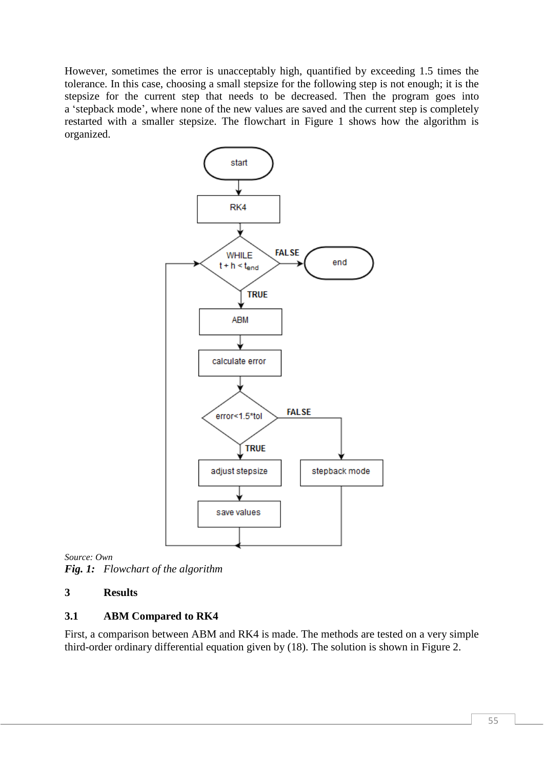However, sometimes the error is unacceptably high, quantified by exceeding 1.5 times the tolerance. In this case, choosing a small stepsize for the following step is not enough; it is the stepsize for the current step that needs to be decreased. Then the program goes into a 'stepback mode', where none of the new values are saved and the current step is completely restarted with a smaller stepsize. The flowchart in Figure 1 shows how the algorithm is organized.



*Source: Own Fig. 1: Flowchart of the algorithm*

# **3 Results**

# **3.1 ABM Compared to RK4**

First, a comparison between ABM and RK4 is made. The methods are tested on a very simple third-order ordinary differential equation given by (18). The solution is shown in Figure 2.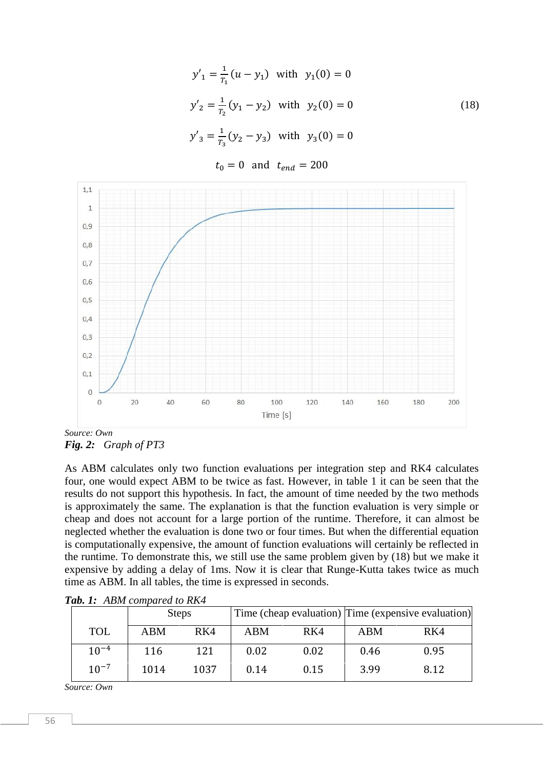$$
y'_1 = \frac{1}{r_1}(u - y_1) \text{ with } y_1(0) = 0
$$
  
\n
$$
y'_2 = \frac{1}{r_2}(y_1 - y_2) \text{ with } y_2(0) = 0
$$
  
\n
$$
y'_3 = \frac{1}{r_3}(y_2 - y_3) \text{ with } y_3(0) = 0
$$
\n(18)

 $t_0 = 0$  and  $t_{end} = 200$ 



*Fig. 2: Graph of PT3*

As ABM calculates only two function evaluations per integration step and RK4 calculates four, one would expect ABM to be twice as fast. However, in table 1 it can be seen that the results do not support this hypothesis. In fact, the amount of time needed by the two methods is approximately the same. The explanation is that the function evaluation is very simple or cheap and does not account for a large portion of the runtime. Therefore, it can almost be neglected whether the evaluation is done two or four times. But when the differential equation is computationally expensive, the amount of function evaluations will certainly be reflected in the runtime. To demonstrate this, we still use the same problem given by (18) but we make it expensive by adding a delay of 1ms. Now it is clear that Runge-Kutta takes twice as much time as ABM. In all tables, the time is expressed in seconds.

|            | <b>Steps</b> |      |            |      | Time (cheap evaluation) Time (expensive evaluation) |      |  |
|------------|--------------|------|------------|------|-----------------------------------------------------|------|--|
| <b>TOL</b> | <b>ABM</b>   | RK4  | <b>ABM</b> | RK4  | <b>ABM</b>                                          | RK4  |  |
| $10^{-4}$  | 116          | 121  | 0.02       | 0.02 | 0.46                                                | 0.95 |  |
| $10^{-7}$  | 1014         | 1037 | 0.14       | 0.15 | 3.99                                                | 8.12 |  |

*Tab. 1: ABM compared to RK4*

*Source: Own*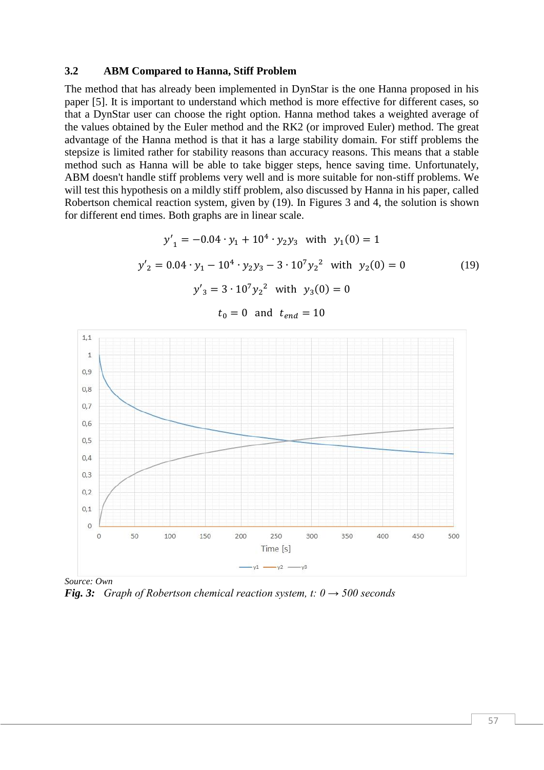#### **3.2 ABM Compared to Hanna, Stiff Problem**

The method that has already been implemented in DynStar is the one Hanna proposed in his paper [5]. It is important to understand which method is more effective for different cases, so that a DynStar user can choose the right option. Hanna method takes a weighted average of the values obtained by the Euler method and the RK2 (or improved Euler) method. The great advantage of the Hanna method is that it has a large stability domain. For stiff problems the stepsize is limited rather for stability reasons than accuracy reasons. This means that a stable method such as Hanna will be able to take bigger steps, hence saving time. Unfortunately, ABM doesn't handle stiff problems very well and is more suitable for non-stiff problems. We will test this hypothesis on a mildly stiff problem, also discussed by Hanna in his paper, called Robertson chemical reaction system, given by (19). In Figures 3 and 4, the solution is shown for different end times. Both graphs are in linear scale.

$$
y'_{1} = -0.04 \cdot y_{1} + 10^{4} \cdot y_{2}y_{3} \text{ with } y_{1}(0) = 1
$$
  
\n
$$
y'_{2} = 0.04 \cdot y_{1} - 10^{4} \cdot y_{2}y_{3} - 3 \cdot 10^{7}y_{2}^{2} \text{ with } y_{2}(0) = 0
$$
  
\n
$$
y'_{3} = 3 \cdot 10^{7}y_{2}^{2} \text{ with } y_{3}(0) = 0
$$
\n(19)

 $1,1$  $\overline{1}$  $0,9$  $0,8$  $0,7$  $0,6$  $0,5$  $0.4$  $0,3$  $0,2$  $0.1$  $\mathbf 0$  $\overline{0}$ 250 50 100 150 200 300 350 400 450 500 Time [s]  $-y1 - y2 - y3$ 

 $t_0 = 0$  and  $t_{end} = 10$ 

*Source: Own Fig. 3: Graph of Robertson chemical reaction system, t: 0 → 500 seconds*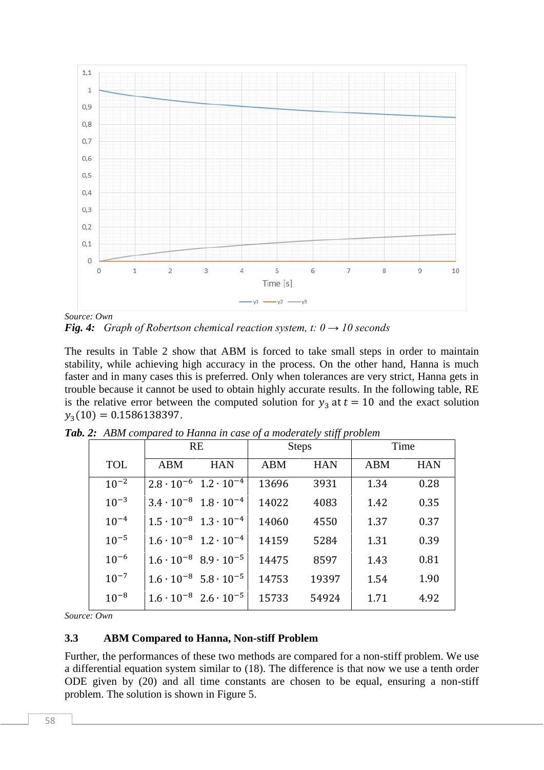

*Source: Own Fig. 4: Graph of Robertson chemical reaction system, t: 0 → 10 seconds*

The results in Table 2 show that ABM is forced to take small steps in order to maintain stability, while achieving high accuracy in the process. On the other hand, Hanna is much faster and in many cases this is preferred. Only when tolerances are very strict, Hanna gets in trouble because it cannot be used to obtain highly accurate results. In the following table, RE is the relative error between the computed solution for  $y_3$  at  $t = 10$  and the exact solution  $y_3(10) = 0.1586138397.$ 

|            |     | <b>RE</b>                               |       | <b>Steps</b> | Time       |            |  |
|------------|-----|-----------------------------------------|-------|--------------|------------|------------|--|
| <b>TOL</b> | ABM | <b>HAN</b>                              | ABM   | <b>HAN</b>   | <b>ABM</b> | <b>HAN</b> |  |
| $10^{-2}$  |     | $2.8 \cdot 10^{-6}$ 1.2 $\cdot 10^{-4}$ | 13696 | 3931         | 1.34       | 0.28       |  |
| $10^{-3}$  |     | $3.4 \cdot 10^{-8}$ $1.8 \cdot 10^{-4}$ | 14022 | 4083         | 1.42       | 0.35       |  |
| $10^{-4}$  |     | $1.5 \cdot 10^{-8}$ $1.3 \cdot 10^{-4}$ | 14060 | 4550         | 1.37       | 0.37       |  |
| $10^{-5}$  |     | $1.6 \cdot 10^{-8}$ $1.2 \cdot 10^{-4}$ | 14159 | 5284         | 1.31       | 0.39       |  |
| $10^{-6}$  |     | $1.6 \cdot 10^{-8}$ 8.9 $\cdot 10^{-5}$ | 14475 | 8597         | 1.43       | 0.81       |  |
| $10^{-7}$  |     | $1.6 \cdot 10^{-8}$ 5.8 $\cdot 10^{-5}$ | 14753 | 19397        | 1.54       | 1.90       |  |
| $10^{-8}$  |     | $1.6 \cdot 10^{-8}$ $2.6 \cdot 10^{-5}$ | 15733 | 54924        | 1.71       | 4.92       |  |

|  |  |  |  | Tab. 2: ABM compared to Hanna in case of a moderately stiff problem |  |
|--|--|--|--|---------------------------------------------------------------------|--|
|  |  |  |  |                                                                     |  |

*Source: Own*

## **3.3 ABM Compared to Hanna, Non-stiff Problem**

Further, the performances of these two methods are compared for a non-stiff problem. We use a differential equation system similar to (18). The difference is that now we use a tenth order ODE given by (20) and all time constants are chosen to be equal, ensuring a non-stiff problem. The solution is shown in Figure 5.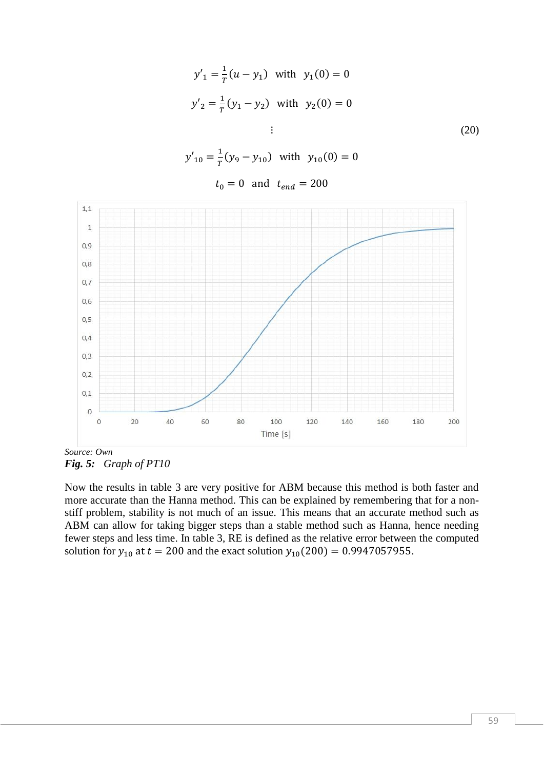$$
y'_{1} = \frac{1}{T}(u - y_{1}) \text{ with } y_{1}(0) = 0
$$
  

$$
y'_{2} = \frac{1}{T}(y_{1} - y_{2}) \text{ with } y_{2}(0) = 0
$$
  

$$
\vdots \tag{20}
$$

 $y'_{10} = \frac{1}{T}$  $\frac{1}{T}(y_9 - y_{10})$  with  $y_{10}(0) = 0$ 

 $t_0 = 0$  and  $t_{end} = 200$ 



*Source: Own Fig. 5: Graph of PT10*

Now the results in table 3 are very positive for ABM because this method is both faster and more accurate than the Hanna method. This can be explained by remembering that for a nonstiff problem, stability is not much of an issue. This means that an accurate method such as ABM can allow for taking bigger steps than a stable method such as Hanna, hence needing fewer steps and less time. In table 3, RE is defined as the relative error between the computed solution for  $y_{10}$  at  $t = 200$  and the exact solution  $y_{10}(200) = 0.9947057955$ .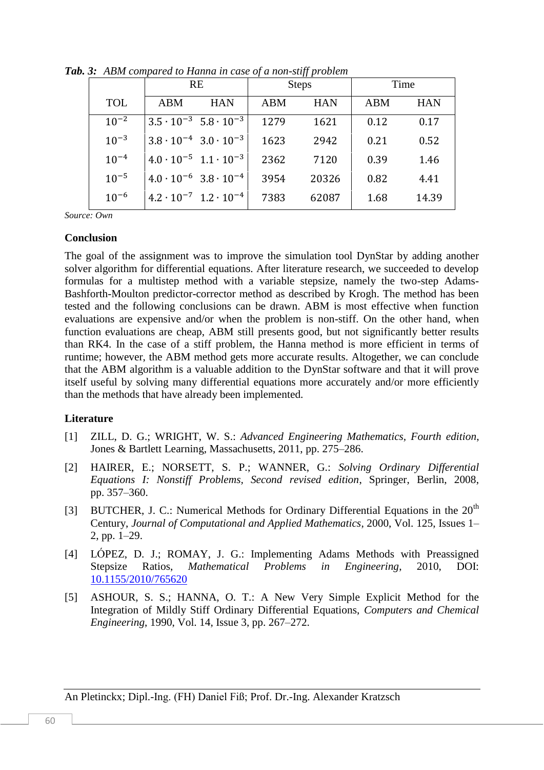|            |     | <b>RE</b>                               |            | <b>Steps</b> | Time |            |  |
|------------|-----|-----------------------------------------|------------|--------------|------|------------|--|
| <b>TOL</b> | ABM | <b>HAN</b>                              | <b>ABM</b> | <b>HAN</b>   | ABM  | <b>HAN</b> |  |
| $10^{-2}$  |     | $3.5 \cdot 10^{-3}$ $5.8 \cdot 10^{-3}$ | 1279       | 1621         | 0.12 | 0.17       |  |
| $10^{-3}$  |     | $3.8 \cdot 10^{-4}$ $3.0 \cdot 10^{-3}$ | 1623       | 2942         | 0.21 | 0.52       |  |
| $10^{-4}$  |     | $4.0 \cdot 10^{-5}$ $1.1 \cdot 10^{-3}$ | 2362       | 7120         | 0.39 | 1.46       |  |
| $10^{-5}$  |     | $4.0 \cdot 10^{-6}$ 3.8 $\cdot 10^{-4}$ | 3954       | 20326        | 0.82 | 4.41       |  |
| $10^{-6}$  |     | $4.2 \cdot 10^{-7}$ 1.2 $\cdot 10^{-4}$ | 7383       | 62087        | 1.68 | 14.39      |  |

*Tab. 3: ABM compared to Hanna in case of a non-stiff problem*

*Source: Own*

#### **Conclusion**

The goal of the assignment was to improve the simulation tool DynStar by adding another solver algorithm for differential equations. After literature research, we succeeded to develop formulas for a multistep method with a variable stepsize, namely the two-step Adams-Bashforth-Moulton predictor-corrector method as described by Krogh. The method has been tested and the following conclusions can be drawn. ABM is most effective when function evaluations are expensive and/or when the problem is non-stiff. On the other hand, when function evaluations are cheap, ABM still presents good, but not significantly better results than RK4. In the case of a stiff problem, the Hanna method is more efficient in terms of runtime; however, the ABM method gets more accurate results. Altogether, we can conclude that the ABM algorithm is a valuable addition to the DynStar software and that it will prove itself useful by solving many differential equations more accurately and/or more efficiently than the methods that have already been implemented.

#### **Literature**

- [1] ZILL, D. G.; WRIGHT, W. S.: *Advanced Engineering Mathematics, Fourth edition*, Jones & Bartlett Learning, Massachusetts, 2011, pp. 275–286.
- [2] HAIRER, E.; NORSETT, S. P.; WANNER, G.: *Solving Ordinary Differential Equations I: Nonstiff Problems, Second revised edition*, Springer, Berlin, 2008, pp. 357–360.
- [3] BUTCHER, J. C.: Numerical Methods for Ordinary Differential Equations in the  $20<sup>th</sup>$ Century, *Journal of Computational and Applied Mathematics*, 2000, Vol. 125, Issues 1– 2, pp. 1–29.
- [4] LÓPEZ, D. J.; ROMAY, J. G.: Implementing Adams Methods with Preassigned Stepsize Ratios, *Mathematical Problems in Engineering*, 2010, DOI: [10.1155/2010/765620](http://dx.doi.org/10.1155/2010/765620)
- [5] ASHOUR, S. S.; HANNA, O. T.: A New Very Simple Explicit Method for the Integration of Mildly Stiff Ordinary Differential Equations, *Computers and Chemical Engineering*, 1990, Vol. 14, Issue 3, pp. 267–272.

An Pletinckx; Dipl.-Ing. (FH) Daniel Fiß; Prof. Dr.-Ing. Alexander Kratzsch